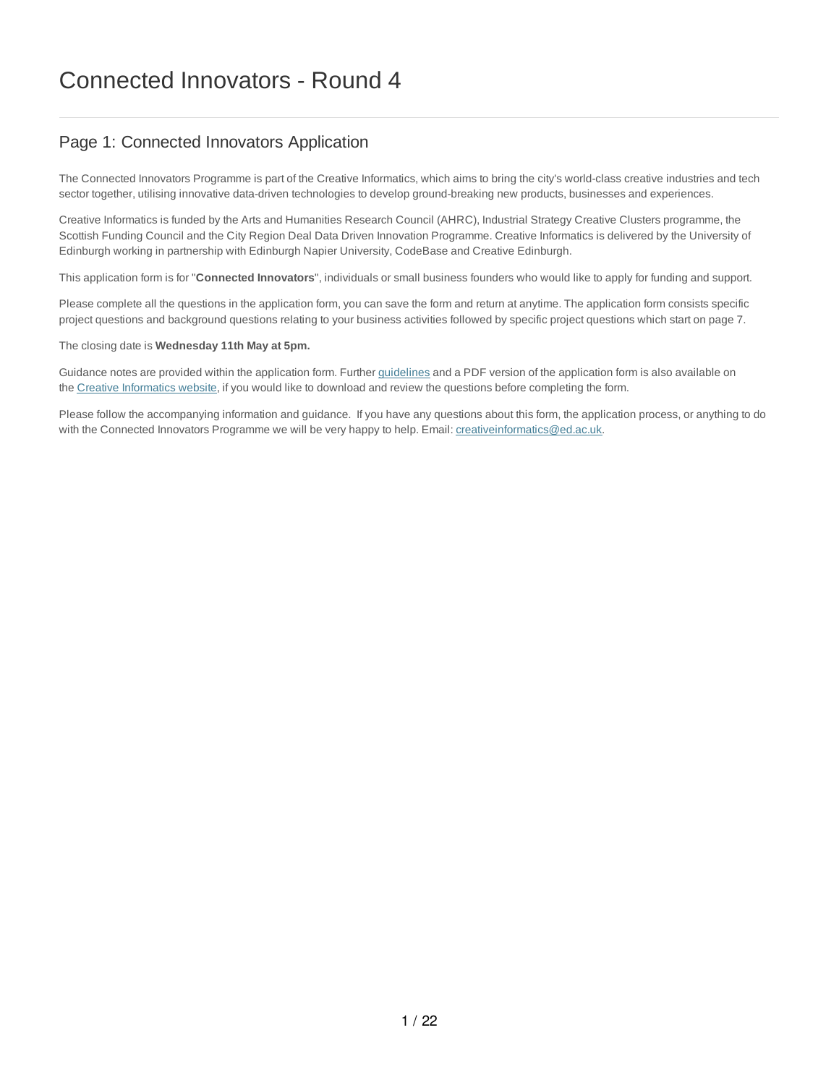## Page 1: Connected Innovators Application

The Connected Innovators Programme is part of the Creative Informatics, which aims to bring the city's world-class creative industries and tech sector together, utilising innovative data-driven technologies to develop ground-breaking new products, businesses and experiences.

Creative Informatics is funded by the Arts and Humanities Research Council (AHRC), Industrial Strategy Creative Clusters programme, the Scottish Funding Council and the City Region Deal Data Driven Innovation Programme. Creative Informatics is delivered by the University of Edinburgh working in partnership with Edinburgh Napier University, CodeBase and Creative Edinburgh.

This application form is for "**Connected Innovators**", individuals or small business founders who would like to apply for funding and support.

Please complete all the questions in the application form, you can save the form and return at anytime. The application form consists specific project questions and background questions relating to your business activities followed by specific project questions which start on page 7.

The closing date is **Wednesday 11th May at 5pm.**

Guidance notes are provided within the application form. Further guidelines and a PDF version of the application form is also available on the Creative Informatics website, if you would like to download and review the questions before completing the form.

Please follow the accompanying information and guidance. If you have any questions about this form, the application process, or anything to do with the Connected Innovators Programme we will be very happy to help. Email: creativeinformatics@ed.ac.uk.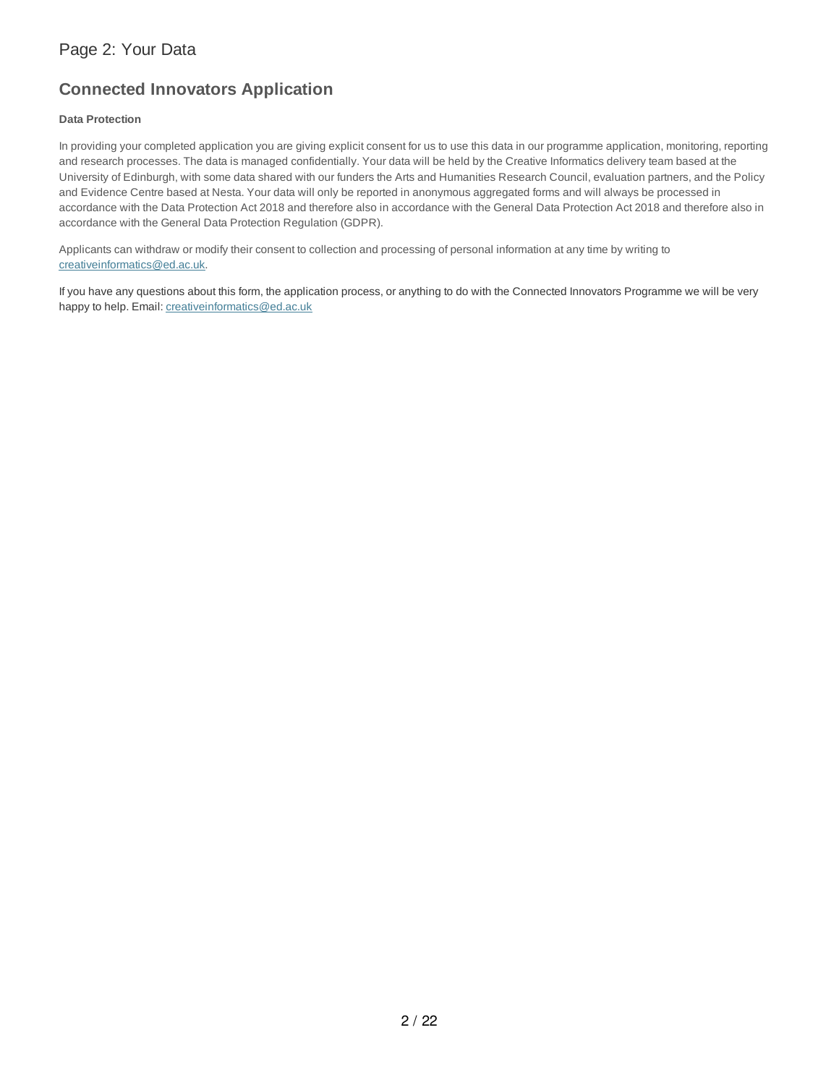## **Connected Innovators Application**

## **Data Protection**

In providing your completed application you are giving explicit consent for us to use this data in our programme application, monitoring, reporting and research processes. The data is managed confidentially. Your data will be held by the Creative Informatics delivery team based at the University of Edinburgh, with some data shared with our funders the Arts and Humanities Research Council, evaluation partners, and the Policy and Evidence Centre based at Nesta. Your data will only be reported in anonymous aggregated forms and will always be processed in accordance with the Data Protection Act 2018 and therefore also in accordance with the General Data Protection Act 2018 and therefore also in accordance with the General Data Protection Regulation (GDPR).

Applicants can withdraw or modify their consent to collection and processing of personal information at any time by writing to creativeinformatics@ed.ac.uk.

If you have any questions about this form, the application process, or anything to do with the Connected Innovators Programme we will be very happy to help. Email: creativeinformatics@ed.ac.uk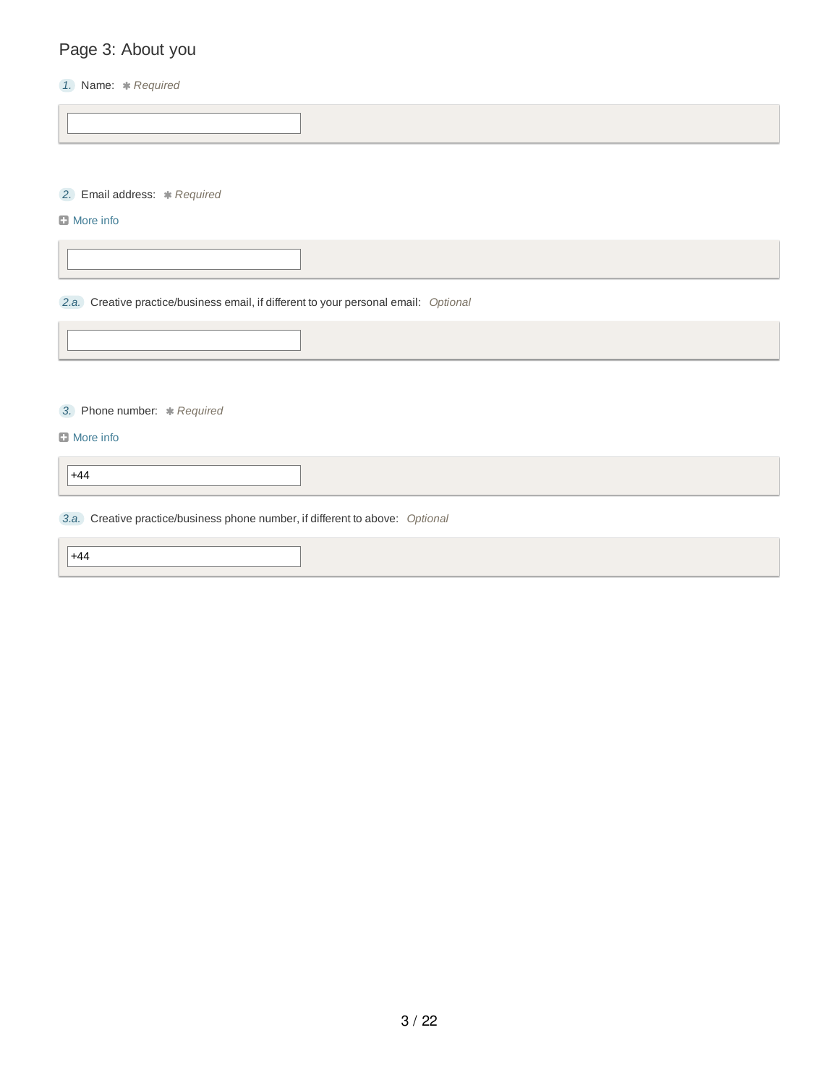# Page 3: About you

## *1.* Name: *Required*

*2.* Email address: *Required*

## **D** More info

*2.a.* Creative practice/business email, if different to your personal email: *Optional*

*3.* Phone number: *Required*

### **D** More info

+44

## *3.a.* Creative practice/business phone number, if different to above: *Optional*

 $+44$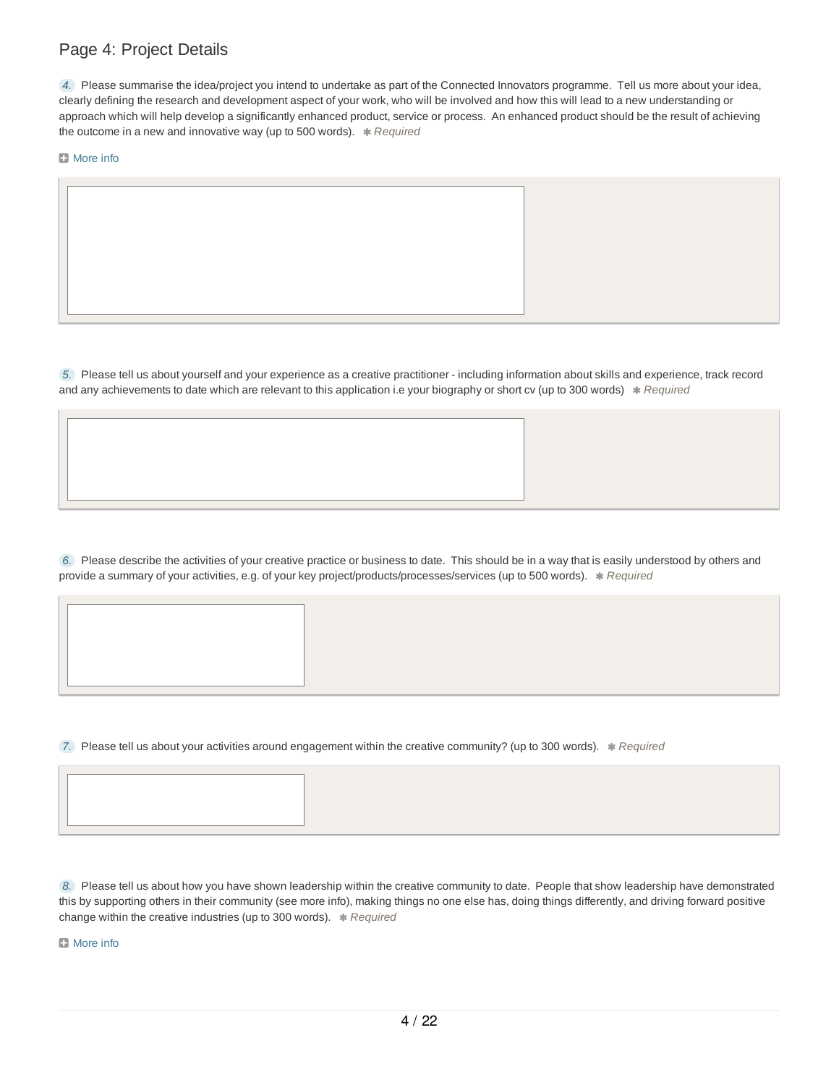## Page 4: Project Details

*4.* Please summarise the idea/project you intend to undertake as part of the Connected Innovators programme. Tell us more about your idea, clearly defining the research and development aspect of your work, who will be involved and how this will lead to a new understanding or approach which will help develop a significantly enhanced product, service or process. An enhanced product should be the result of achieving the outcome in a new and innovative way (up to 500 words). *\* Required* 

**D** More info

*5.* Please tell us about yourself and your experience as a creative practitioner - including information about skills and experience, track record and any achievements to date which are relevant to this application i.e your biography or short cv (up to 300 words)  $*$  Required

*6.* Please describe the activities of your creative practice or business to date. This should be in a way that is easily understood by others and provide a summary of your activities, e.g. of your key project/products/processes/services (up to 500 words). *\* Required* 

*7.* Please tell us about your activities around engagement within the creative community? (up to 300 words). *Required*

*8.* Please tell us about how you have shown leadership within the creative community to date. People that show leadership have demonstrated this by supporting others in their community (see more info), making things no one else has, doing things differently, and driving forward positive change within the creative industries (up to 300 words). \* Required

**El** More info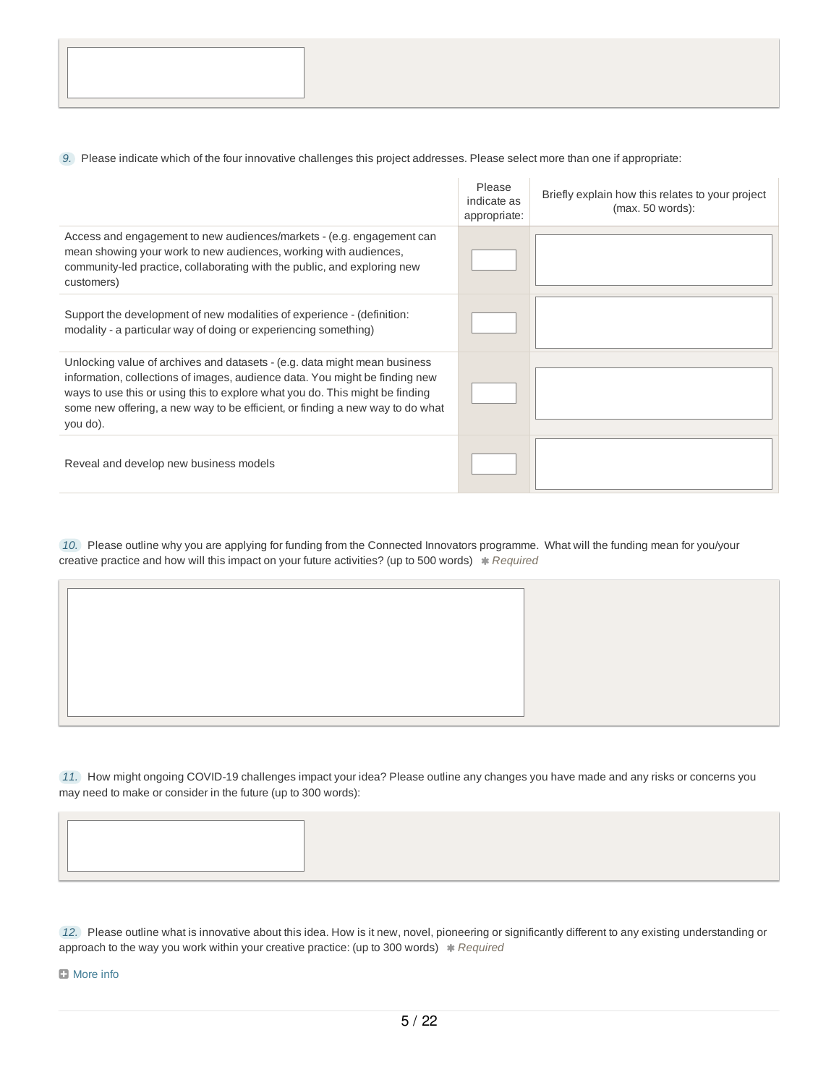*9.* Please indicate which of the four innovative challenges this project addresses. Please select more than one if appropriate:

|                                                                                                                                                                                                                                                                                                                                       | Please<br>indicate as<br>appropriate: | Briefly explain how this relates to your project<br>(max. 50 words): |
|---------------------------------------------------------------------------------------------------------------------------------------------------------------------------------------------------------------------------------------------------------------------------------------------------------------------------------------|---------------------------------------|----------------------------------------------------------------------|
| Access and engagement to new audiences/markets - (e.g. engagement can<br>mean showing your work to new audiences, working with audiences,<br>community-led practice, collaborating with the public, and exploring new<br>customers)                                                                                                   |                                       |                                                                      |
| Support the development of new modalities of experience - (definition:<br>modality - a particular way of doing or experiencing something)                                                                                                                                                                                             |                                       |                                                                      |
| Unlocking value of archives and datasets - (e.g. data might mean business<br>information, collections of images, audience data. You might be finding new<br>ways to use this or using this to explore what you do. This might be finding<br>some new offering, a new way to be efficient, or finding a new way to do what<br>you do). |                                       |                                                                      |
| Reveal and develop new business models                                                                                                                                                                                                                                                                                                |                                       |                                                                      |

*10.* Please outline why you are applying for funding from the Connected Innovators programme. What will the funding mean for you/your creative practice and how will this impact on your future activities? (up to 500 words) \* Required

*11.* How might ongoing COVID-19 challenges impact your idea? Please outline any changes you have made and any risks or concerns you may need to make or consider in the future (up to 300 words):

| 12. Please outline what is innovative about this idea. How is it new, novel, pioneering or significantly different to any existing understanding or |
|-----------------------------------------------------------------------------------------------------------------------------------------------------|
| approach to the way you work within your creative practice: (up to 300 words) * Required                                                            |

**D** More info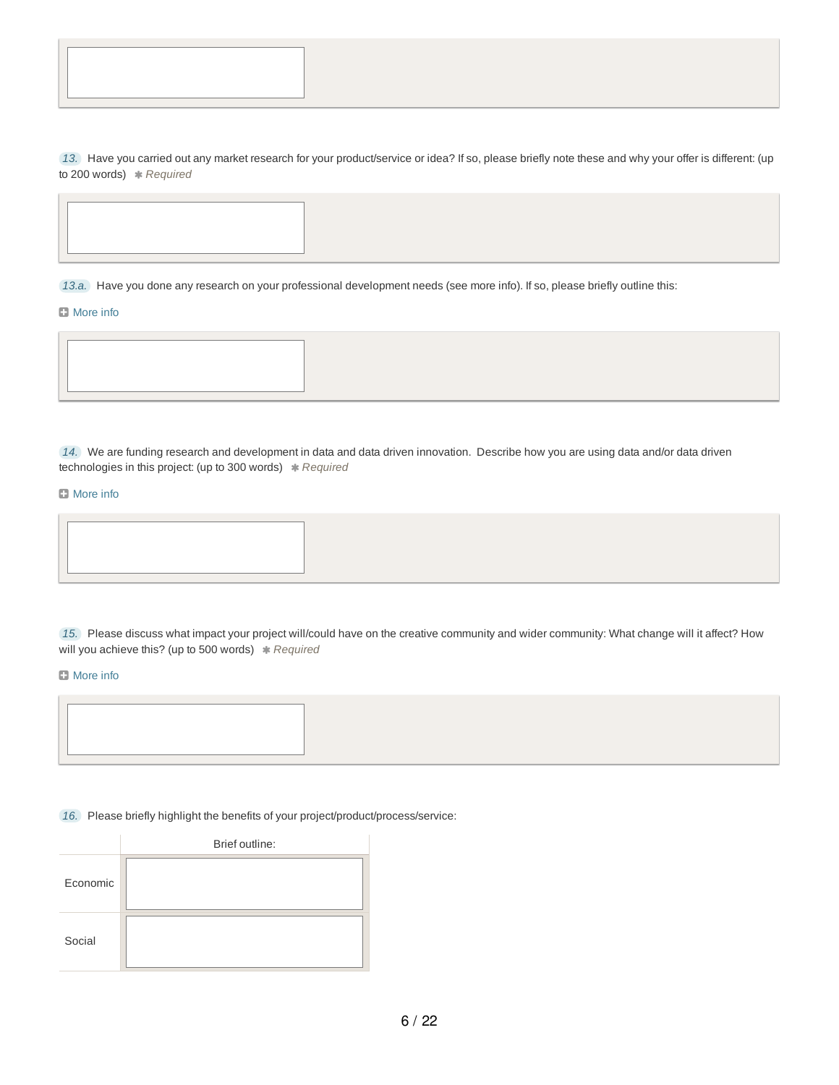*13.* Have you carried out any market research for your product/service or idea? If so, please briefly note these and why your offer is different: (up to 200 words) *Required*

*13.a.* Have you done any research on your professional development needs (see more info). If so, please briefly outline this:

#### **El** More info

*14.* We are funding research and development in data and data driven innovation. Describe how you are using data and/or data driven technologies in this project: (up to 300 words) \* Required

### **D** More info

*15.* Please discuss what impact your project will/could have on the creative community and wider community: What change will it affect? How will you achieve this? (up to 500 words) \* Required

#### **D** More info

*16.* Please briefly highlight the benefits of your project/product/process/service:

|          | Brief outline: |
|----------|----------------|
| Economic |                |
| Social   |                |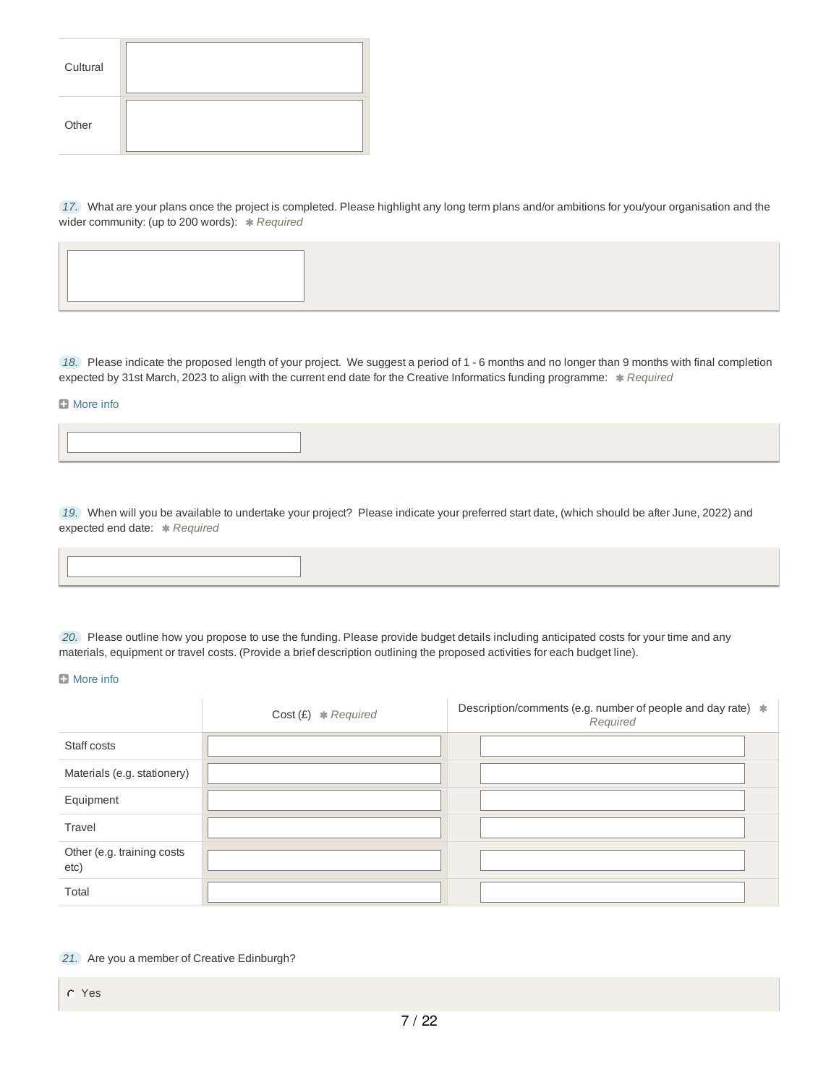| Cultural |  |
|----------|--|
| Other    |  |

*17.* What are your plans once the project is completed. Please highlight any long term plans and/or ambitions for you/your organisation and the wider community: (up to 200 words):  $*$  Required

*18.* Please indicate the proposed length of your project. We suggest a period of 1 - 6 months and no longer than 9 months with final completion expected by 31st March, 2023 to align with the current end date for the Creative Informatics funding programme: \* Required

#### **D** More info

*19.* When will you be available to undertake your project? Please indicate your preferred start date, (which should be after June, 2022) and expected end date: *Required*

*20.* Please outline how you propose to use the funding. Please provide budget details including anticipated costs for your time and any materials, equipment or travel costs. (Provide a brief description outlining the proposed activities for each budget line).

#### **D** More info

|                                    | $Cost(E) * Required$ | Description/comments (e.g. number of people and day rate) $*$<br>Required |
|------------------------------------|----------------------|---------------------------------------------------------------------------|
| Staff costs                        |                      |                                                                           |
| Materials (e.g. stationery)        |                      |                                                                           |
| Equipment                          |                      |                                                                           |
| Travel                             |                      |                                                                           |
| Other (e.g. training costs<br>etc) |                      |                                                                           |
| Total                              |                      |                                                                           |

*21.* Are you a member of Creative Edinburgh?

Yes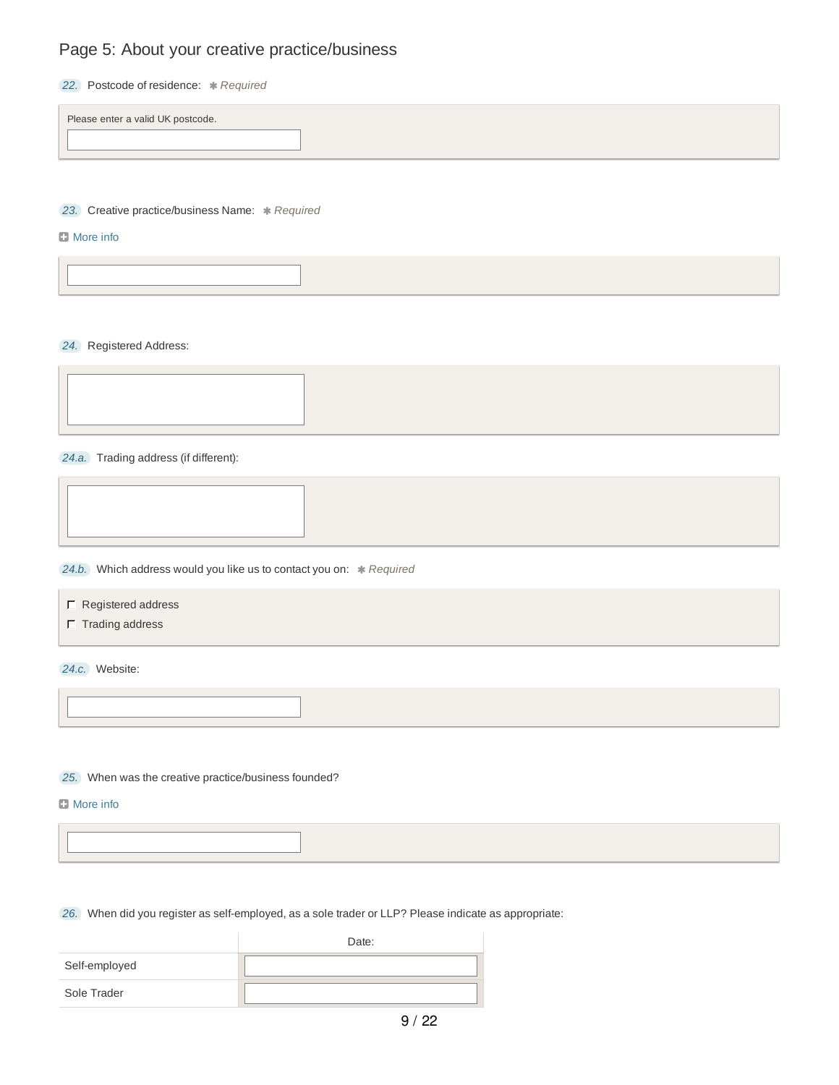## Page 5: About your creative practice/business

| Postcode of residence: * Required<br>22. I |  |
|--------------------------------------------|--|
|--------------------------------------------|--|

Please enter a valid UK postcode.

**23.** Creative practice/business Name: \* Required

### **D** More info

*24.* Registered Address:

*24.a.* Trading address (if different):

**24.b.** Which address would you like us to contact you on: \* Required

- $\Gamma$  Registered address
- $\Gamma$  Trading address

*24.c.* Website:

*25.* When was the creative practice/business founded?

**D** More info

*26.* When did you register as self-employed, as a sole trader or LLP? Please indicate as appropriate:

|               | Date: |
|---------------|-------|
| Self-employed |       |
| Sole Trader   |       |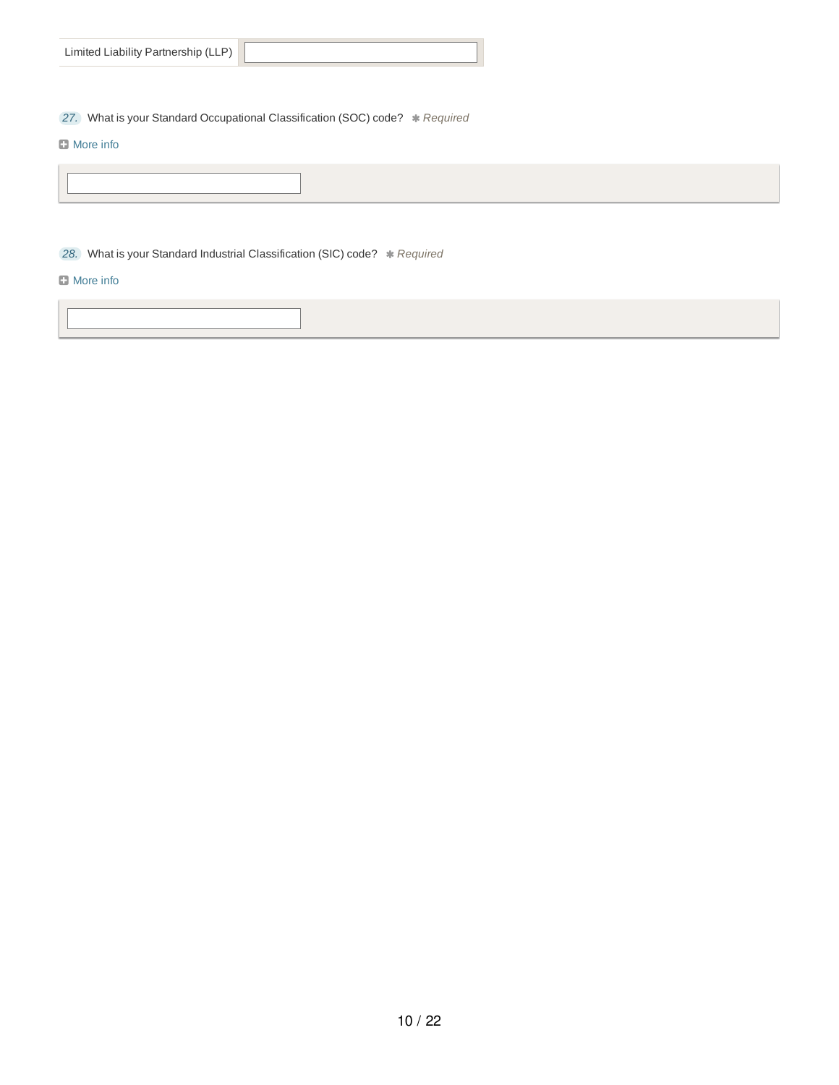| Limited Liability Partnership (LLP) |
|-------------------------------------|

**27.** What is your Standard Occupational Classification (SOC) code? \* Required

## **D** More info

**28.** What is your Standard Industrial Classification (SIC) code?  $*$  Required

## **D** More info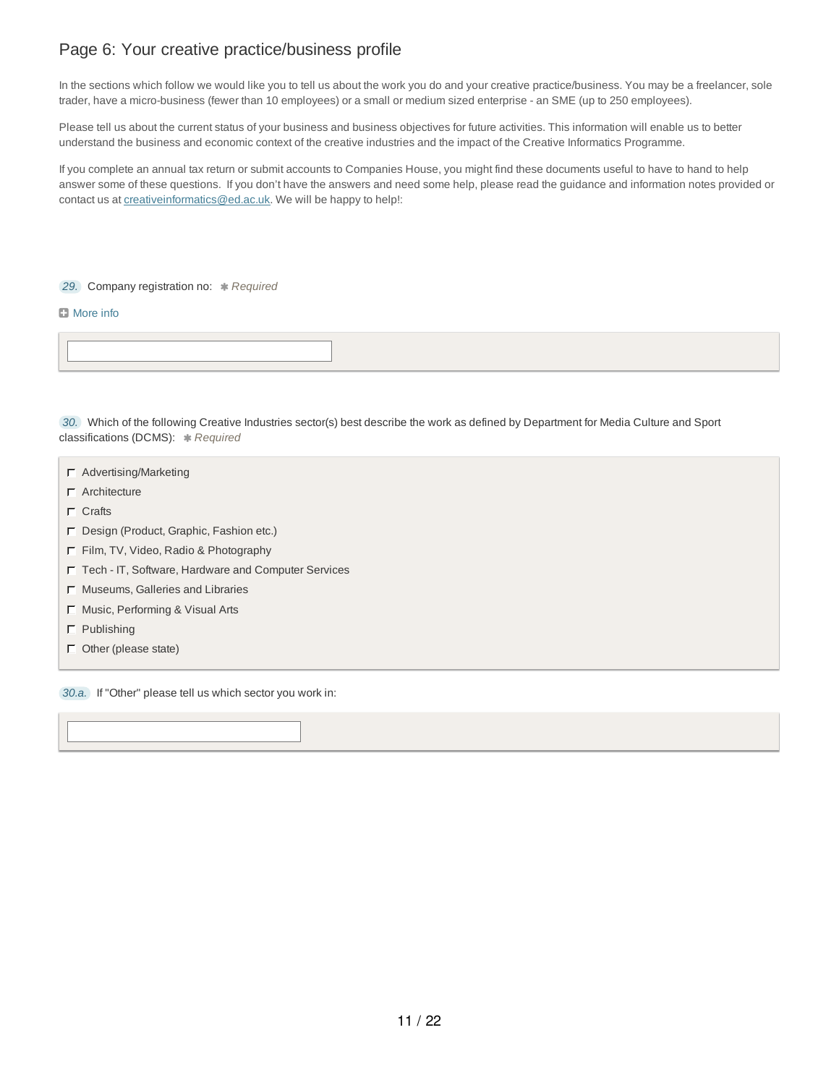## Page 6: Your creative practice/business profile

In the sections which follow we would like you to tell us about the work you do and your creative practice/business. You may be a freelancer, sole trader, have a micro-business (fewer than 10 employees) or a small or medium sized enterprise - an SME (up to 250 employees).

Please tell us about the current status of your business and business objectives for future activities. This information will enable us to better understand the business and economic context of the creative industries and the impact of the Creative Informatics Programme.

If you complete an annual tax return or submit accounts to Companies House, you might find these documents useful to have to hand to help answer some of these questions. If you don't have the answers and need some help, please read the guidance and information notes provided or contact us at creative informatics@ed.ac.uk. We will be happy to help!:

**29.** Company registration no: \* Required

#### **B** More info

*30.* Which of the following Creative Industries sector(s) best describe the work as defined by Department for Media Culture and Sport classifications (DCMS): *Required*

- $\Gamma$  Advertising/Marketing
- Architecture
- $\Gamma$  Crafts
- Design (Product, Graphic, Fashion etc.)
- Film, TV, Video, Radio & Photography
- Tech IT, Software, Hardware and Computer Services
- $\Gamma$  Museums, Galleries and Libraries
- $\Box$  Music, Performing & Visual Arts
- $\Gamma$  Publishing
- $\Box$  Other (please state)

*30.a.* If "Other" please tell us which sector you work in: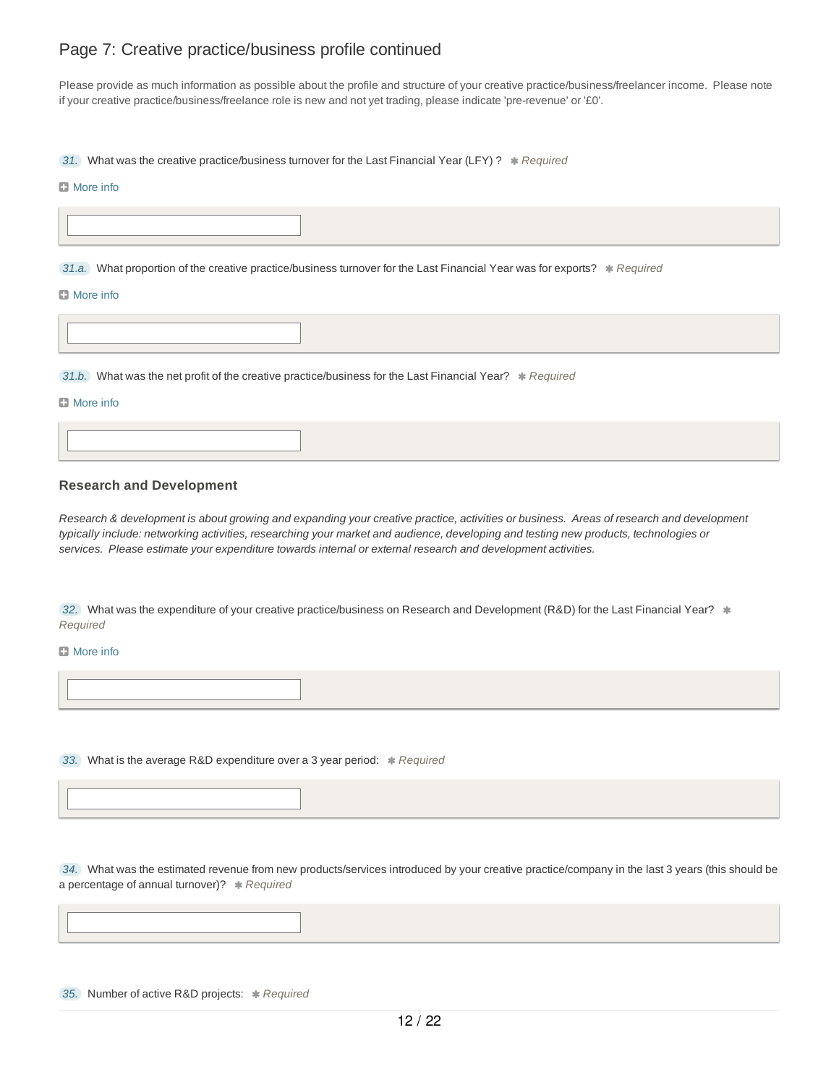## Page 7: Creative practice/business profile continued

Please provide as much information as possible about the profile and structure of your creative practice/business/freelancer income. Please note if your creative practice/business/freelance role is new and not yet trading, please indicate 'pre-revenue' or '£0'.

31. What was the creative practice/business turnover for the Last Financial Year (LFY) ? \* Required

#### **D** More info

31.a. What proportion of the creative practice/business turnover for the Last Financial Year was for exports? *Required* 

#### **D** More info

31.b. What was the net profit of the creative practice/business for the Last Financial Year? *Required* 

#### **D** More info

**Research and Development**

Research & development is about growing and expanding your creative practice, activities or business. Areas of research and development typically include: networking activities, researching your market and audience, developing and testing new products, technologies or *services. Please estimate your expenditure towards internal or external research and development activities.*

32. What was the expenditure of your creative practice/business on Research and Development (R&D) for the Last Financial Year?  $*$ *Required*

### **El** More info

33. What is the average R&D expenditure over a 3 year period: \* Required

*34.* What was the estimated revenue from new products/services introduced by your creative practice/company in the last 3 years (this should be a percentage of annual turnover)? \* Required

*35.* Number of active R&D projects: *Required*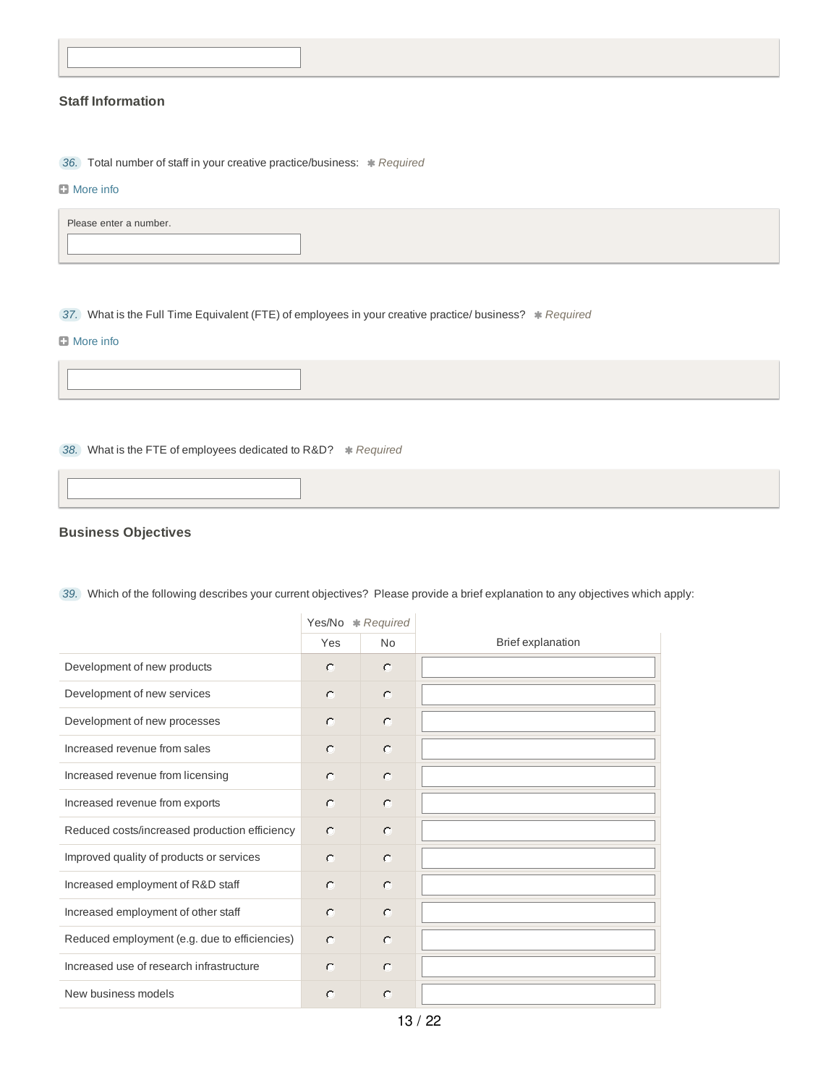## **Staff Information**

**36.** Total number of staff in your creative practice/business:  $*$  Required

### **D** More info

| Please enter a number. |  |
|------------------------|--|
|------------------------|--|

37. What is the Full Time Equivalent (FTE) of employees in your creative practice/ business?  $R$  *Required* 

### **D** More info

38. What is the FTE of employees dedicated to R&D? \* Required

## **Business Objectives**

|                                               | Yes/No * Required |           |                          |
|-----------------------------------------------|-------------------|-----------|--------------------------|
|                                               | Yes               | <b>No</b> | <b>Brief explanation</b> |
| Development of new products                   | $\circ$           | $\circ$   |                          |
| Development of new services                   | $\circ$           | $\circ$   |                          |
| Development of new processes                  | $\subset$         | $\circ$   |                          |
| Increased revenue from sales                  | $\cap$            | $\circ$   |                          |
| Increased revenue from licensing              | $\circ$           | $\circ$   |                          |
| Increased revenue from exports                | $\subset$         | $\circ$   |                          |
| Reduced costs/increased production efficiency | $\circ$           | $\circ$   |                          |
| Improved quality of products or services      | $\cap$            | $\circ$   |                          |
| Increased employment of R&D staff             | $\cap$            | $\circ$   |                          |
| Increased employment of other staff           | $\cap$            | $\circ$   |                          |
| Reduced employment (e.g. due to efficiencies) | $\subset$         | $\circ$   |                          |
| Increased use of research infrastructure      | $\cap$            | $\circ$   |                          |
| New business models                           | $\bigcap$         | $\circ$   |                          |

*39.* Which of the following describes your current objectives? Please provide a brief explanation to any objectives which apply: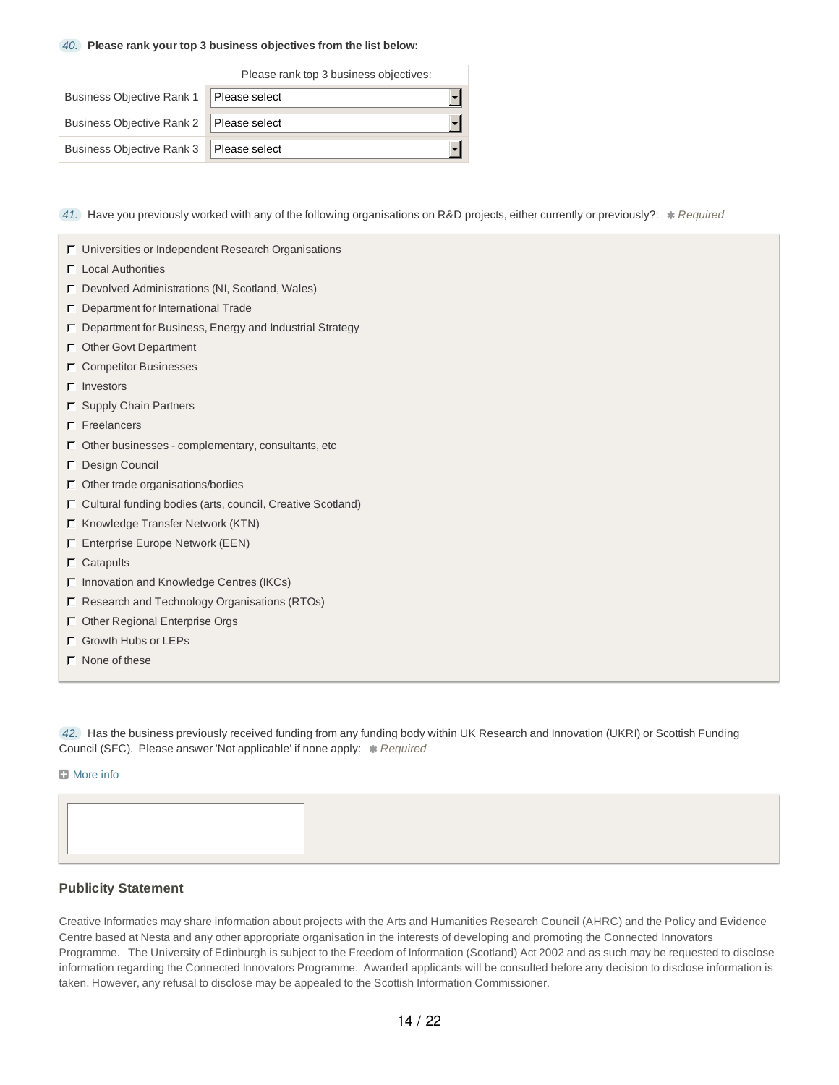#### *40.* **Please rank your top 3 business objectives from the list below:**

|                                           | Please rank top 3 business objectives: |  |
|-------------------------------------------|----------------------------------------|--|
| Business Objective Rank 1   Please select |                                        |  |
| Business Objective Rank 2   Please select |                                        |  |
| Business Objective Rank 3 Please select   |                                        |  |

*41.* Have you previously worked with any of the following organisations on R&D projects, either currently or previously?: \* Required

- Universities or Independent Research Organisations
- $\Gamma$  Local Authorities
- Devolved Administrations (NI, Scotland, Wales)
- $\Box$  Department for International Trade
- $\Gamma$  Department for Business, Energy and Industrial Strategy
- Other Govt Department
- $\Box$  Competitor Businesses
- $\Gamma$  Investors
- $\Gamma$  Supply Chain Partners
- $\Gamma$  Freelancers
- $\Gamma$  Other businesses complementary, consultants, etc
- Design Council
- $\Gamma$  Other trade organisations/bodies
- $\Gamma$  Cultural funding bodies (arts, council, Creative Scotland)
- $\Gamma$  Knowledge Transfer Network (KTN)
- Enterprise Europe Network (EEN)
- $\Gamma$  Catapults
- $\Gamma$  Innovation and Knowledge Centres (IKCs)
- Research and Technology Organisations (RTOs)
- Other Regional Enterprise Orgs
- Growth Hubs or LEPs
- $\Gamma$  None of these

*42.* Has the business previously received funding from any funding body within UK Research and Innovation (UKRI) or Scottish Funding Council (SFC). Please answer 'Not applicable' if none apply:  $*$  Required

#### **El** More info



## **Publicity Statement**

Creative Informatics may share information about projects with the Arts and Humanities Research Council (AHRC) and the Policy and Evidence Centre based at Nesta and any other appropriate organisation in the interests of developing and promoting the Connected Innovators Programme. The University of Edinburgh is subject to the Freedom of Information (Scotland) Act 2002 and as such may be requested to disclose information regarding the Connected Innovators Programme. Awarded applicants will be consulted before any decision to disclose information is taken. However, any refusal to disclose may be appealed to the Scottish Information Commissioner.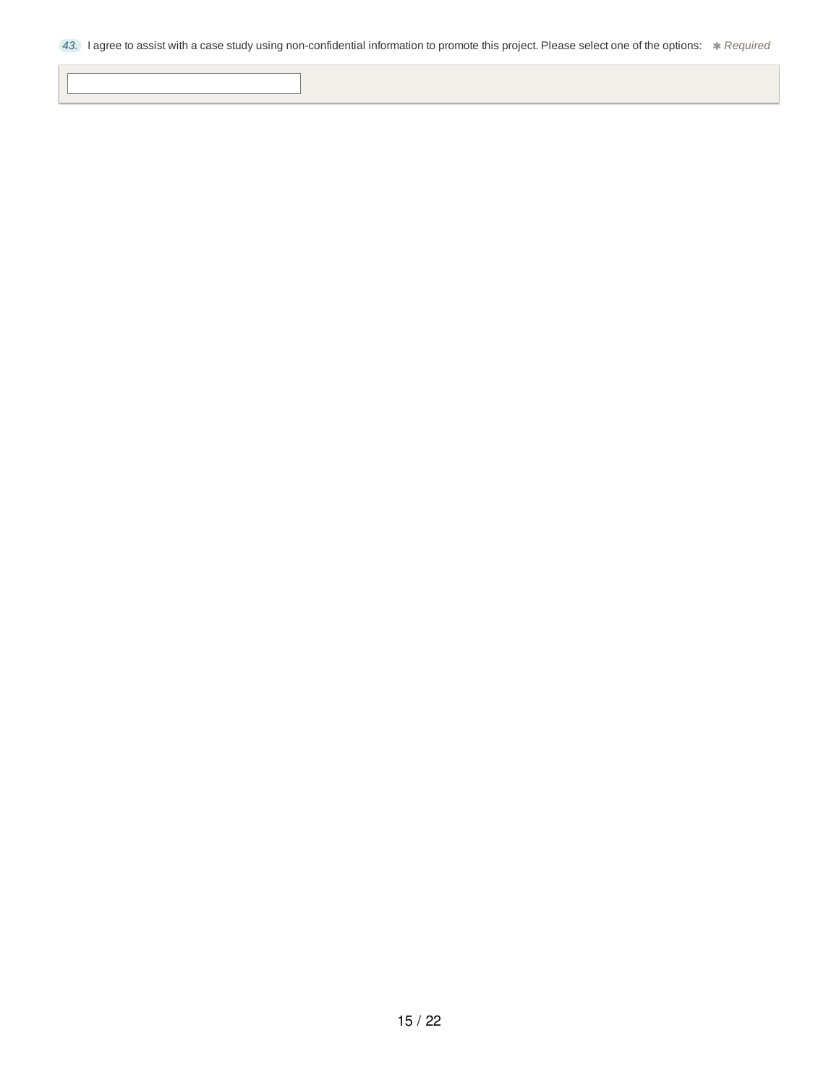*43.* I agree to assist with a case study using non-confidential information to promote this project. Please select one of the options: *Required*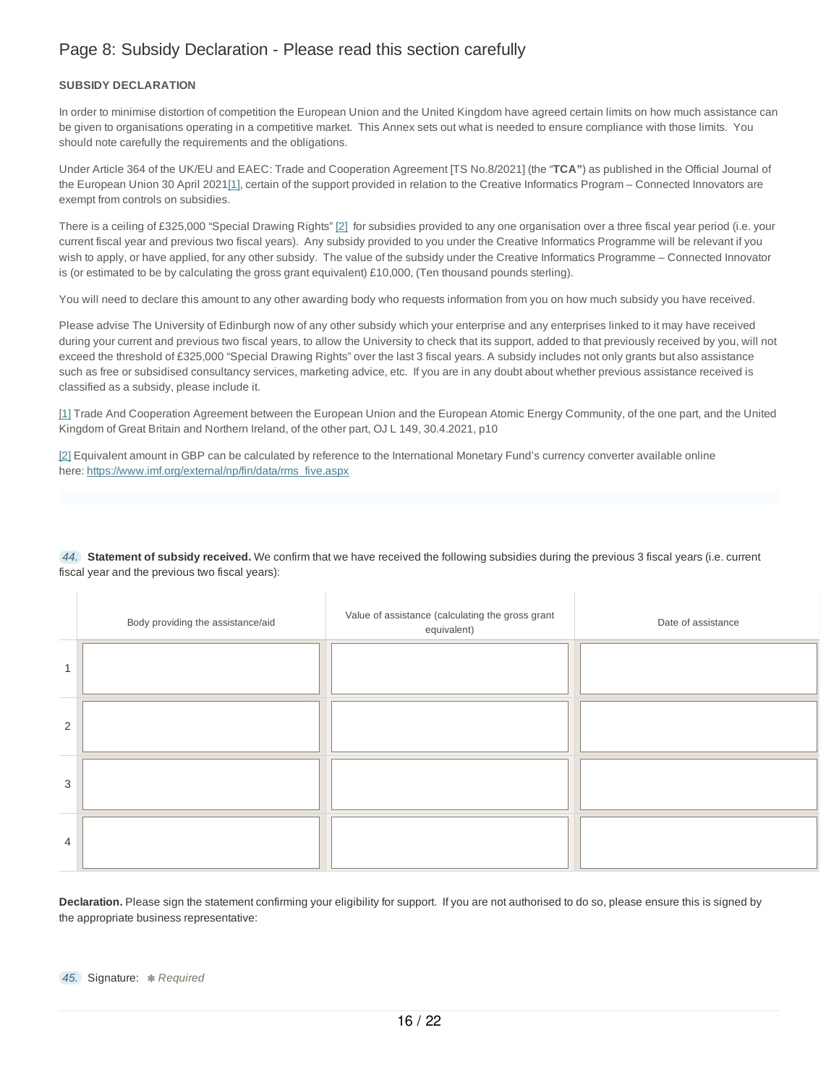## Page 8: Subsidy Declaration - Please read this section carefully

### **SUBSIDY DECLARATION**

In order to minimise distortion of competition the European Union and the United Kingdom have agreed certain limits on how much assistance can be given to organisations operating in a competitive market. This Annex sets out what is needed to ensure compliance with those limits. You should note carefully the requirements and the obligations.

Under Article 364 of the UK/EU and EAEC: Trade and Cooperation Agreement [TS No.8/2021] (the "**TCA"**) as published in the Official Journal of the European Union 30 April 2021[1], certain of the support provided in relation to the Creative Informatics Program – Connected Innovators are exempt from controls on subsidies.

There is a ceiling of £325,000 "Special Drawing Rights" [2] for subsidies provided to any one organisation over a three fiscal year period (i.e. your current fiscal year and previous two fiscal years). Any subsidy provided to you under the Creative Informatics Programme will be relevant if you wish to apply, or have applied, for any other subsidy. The value of the subsidy under the Creative Informatics Programme – Connected Innovator is (or estimated to be by calculating the gross grant equivalent) £10,000, (Ten thousand pounds sterling).

You will need to declare this amount to any other awarding body who requests information from you on how much subsidy you have received.

Please advise The University of Edinburgh now of any other subsidy which your enterprise and any enterprises linked to it may have received during your current and previous two fiscal years, to allow the University to check that its support, added to that previously received by you, will not exceed the threshold of £325,000 "Special Drawing Rights" over the last 3 fiscal years. A subsidy includes not only grants but also assistance such as free or subsidised consultancy services, marketing advice, etc. If you are in any doubt about whether previous assistance received is classified as a subsidy, please include it.

[1] Trade And Cooperation Agreement between the European Union and the European Atomic Energy Community, of the one part, and the United Kingdom of Great Britain and Northern Ireland, of the other part, OJ L 149, 30.4.2021, p10

[2] Equivalent amount in GBP can be calculated by reference to the International Monetary Fund's currency converter available online here: https://www.imf.org/external/np/fin/data/rms\_five.aspx

*44.* **Statement of subsidy received.** We confirm that we have received the following subsidies during the previous 3 fiscal years (i.e. current fiscal year and the previous two fiscal years):

|   | Body providing the assistance/aid | Value of assistance (calculating the gross grant<br>equivalent) | Date of assistance |
|---|-----------------------------------|-----------------------------------------------------------------|--------------------|
| 1 |                                   |                                                                 |                    |
| 2 |                                   |                                                                 |                    |
| 3 |                                   |                                                                 |                    |
| 4 |                                   |                                                                 |                    |

**Declaration.** Please sign the statement confirming your eligibility for support. If you are not authorised to do so, please ensure this is signed by the appropriate business representative: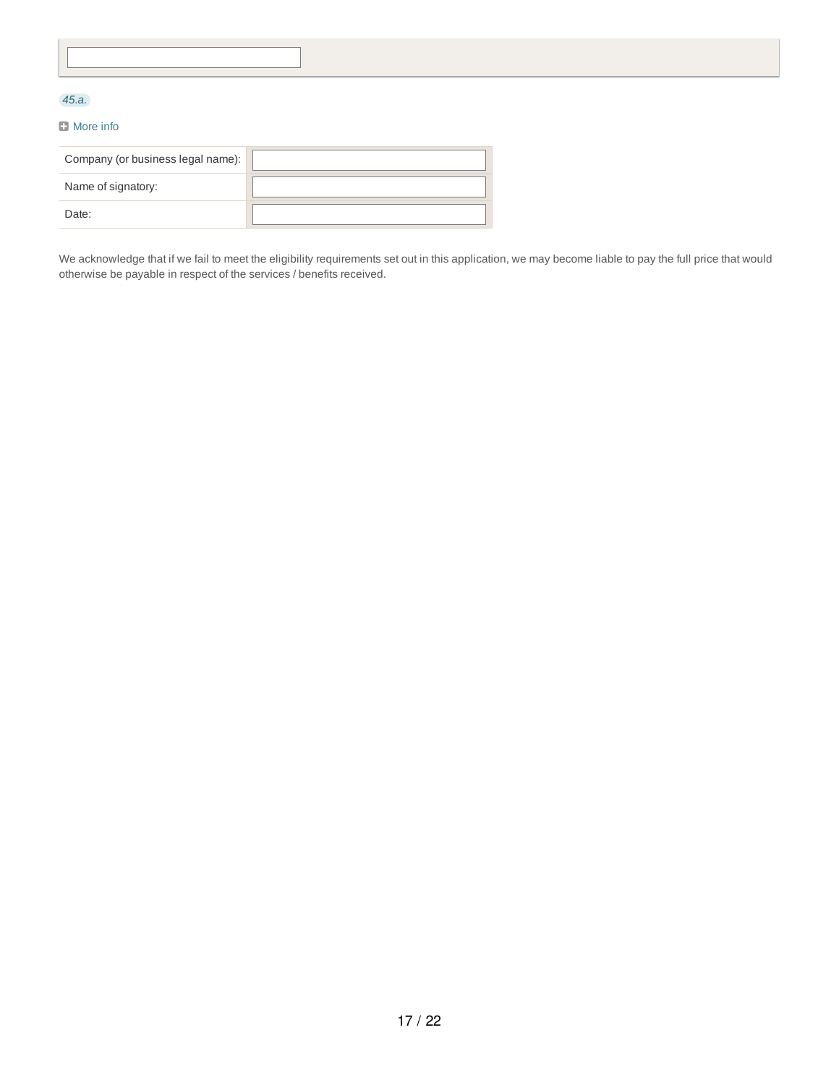## *45.a.*

### **D** More info

| Company (or business legal name): |  |
|-----------------------------------|--|
| Name of signatory:                |  |
| Date:                             |  |

We acknowledge that if we fail to meet the eligibility requirements set out in this application, we may become liable to pay the full price that would otherwise be payable in respect of the services / benefits received.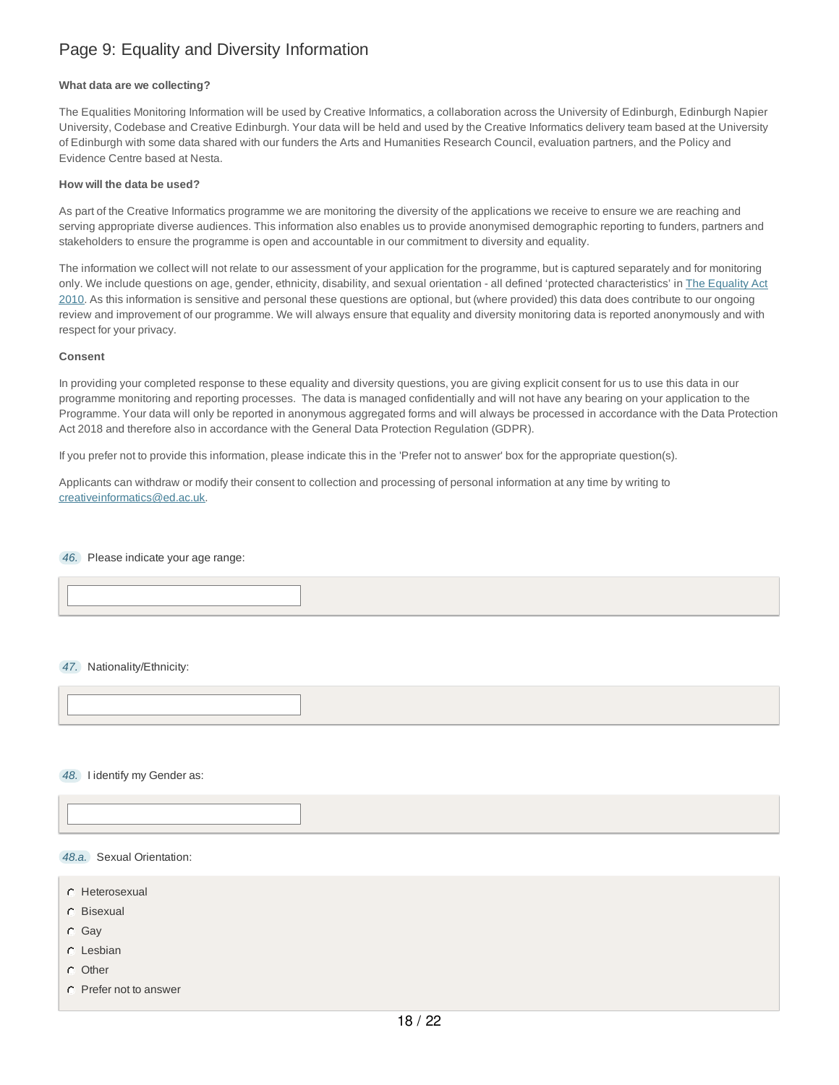## Page 9: Equality and Diversity Information

#### **What data are we collecting?**

The Equalities Monitoring Information will be used by Creative Informatics, a collaboration across the University of Edinburgh, Edinburgh Napier University, Codebase and Creative Edinburgh. Your data will be held and used by the Creative Informatics delivery team based at the University of Edinburgh with some data shared with our funders the Arts and Humanities Research Council, evaluation partners, and the Policy and Evidence Centre based at Nesta.

#### **How will the data be used?**

As part of the Creative Informatics programme we are monitoring the diversity of the applications we receive to ensure we are reaching and serving appropriate diverse audiences. This information also enables us to provide anonymised demographic reporting to funders, partners and stakeholders to ensure the programme is open and accountable in our commitment to diversity and equality.

The information we collect will not relate to our assessment of your application for the programme, but is captured separately and for monitoring only. We include questions on age, gender, ethnicity, disability, and sexual orientation - all defined 'protected characteristics' in The Equality Act 2010. As this information is sensitive and personal these questions are optional, but (where provided) this data does contribute to our ongoing review and improvement of our programme. We will always ensure that equality and diversity monitoring data is reported anonymously and with respect for your privacy.

#### **Consent**

In providing your completed response to these equality and diversity questions, you are giving explicit consent for us to use this data in our programme monitoring and reporting processes. The data is managed confidentially and will not have any bearing on your application to the Programme. Your data will only be reported in anonymous aggregated forms and will always be processed in accordance with the Data Protection Act 2018 and therefore also in accordance with the General Data Protection Regulation (GDPR).

If you prefer not to provide this information, please indicate this in the 'Prefer not to answer' box for the appropriate question(s).

Applicants can withdraw or modify their consent to collection and processing of personal information at any time by writing to creativeinformatics@ed.ac.uk.

*46.* Please indicate your age range:

*47.* Nationality/Ethnicity:

*48.* I identify my Gender as:

### *48.a.* Sexual Orientation:

- C Heterosexual
- Bisexual
- Gay
- Lesbian
- C Other
- Prefer not to answer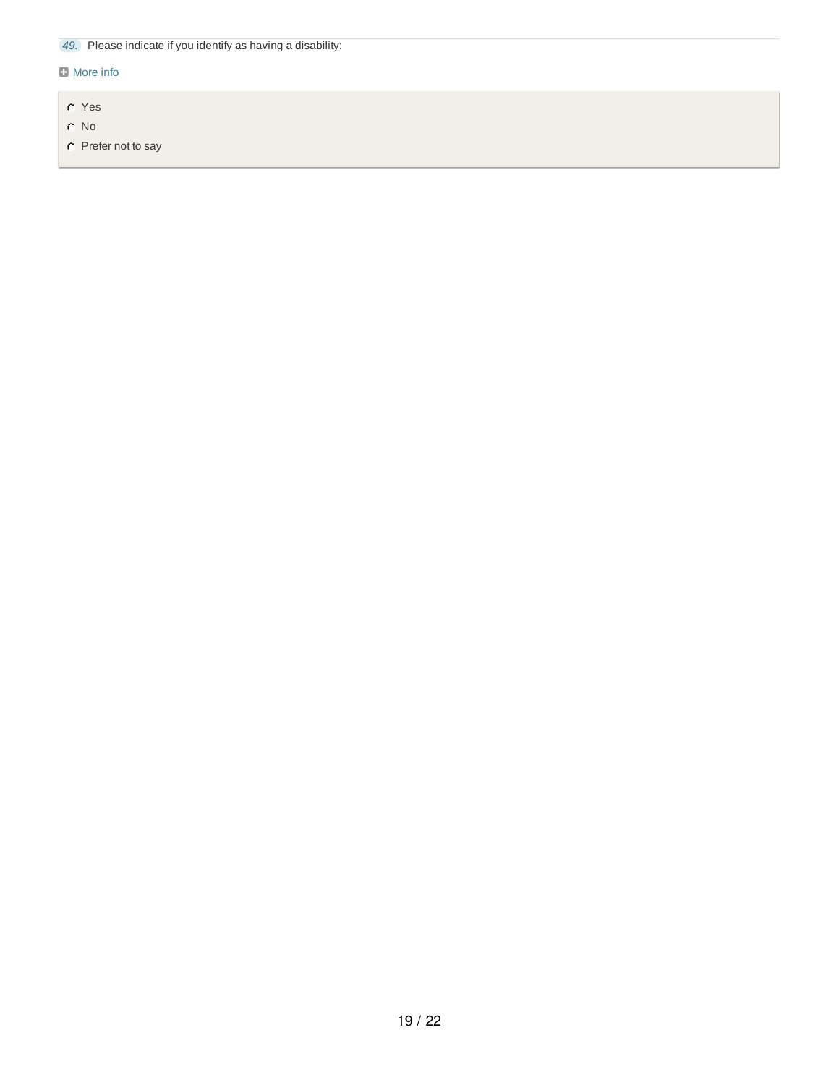*49.* Please indicate if you identify as having a disability:

## **D** More info

- Yes
- No
- C Prefer not to say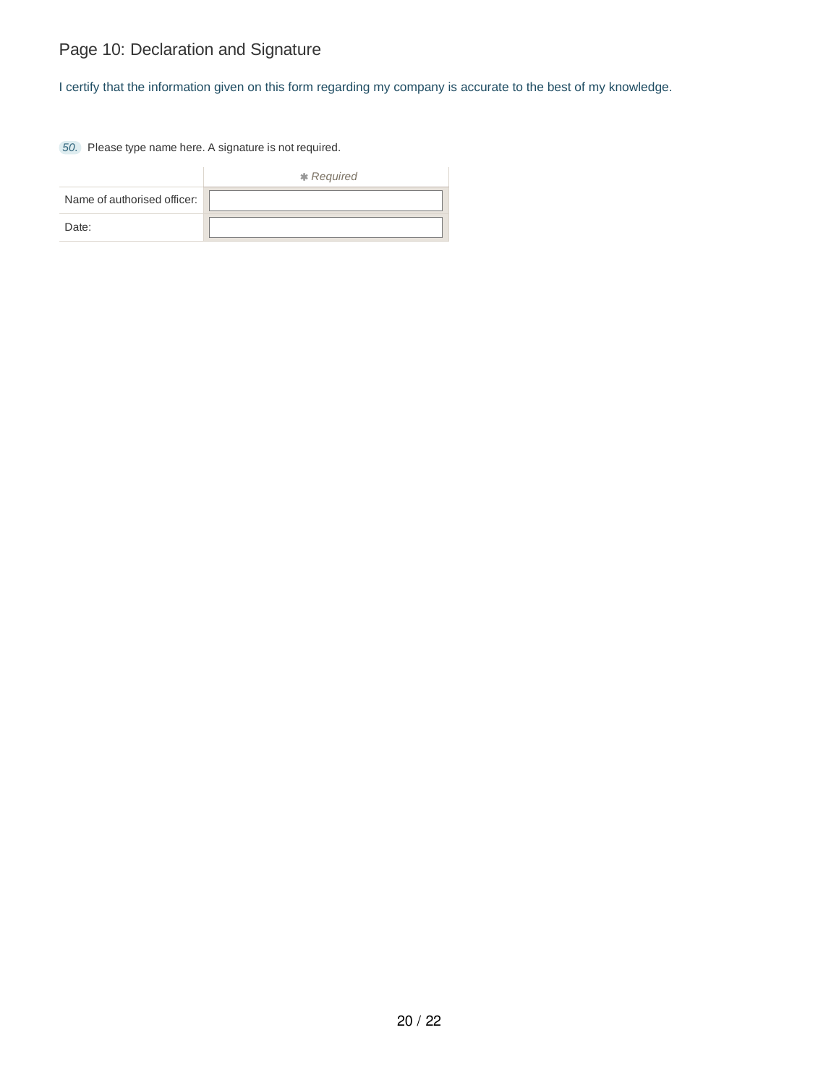# Page 10: Declaration and Signature

I certify that the information given on this form regarding my company is accurate to the best of my knowledge.

*50.* Please type name here. A signature is not required.

|                             | * Required |
|-----------------------------|------------|
| Name of authorised officer: |            |
| Date:                       |            |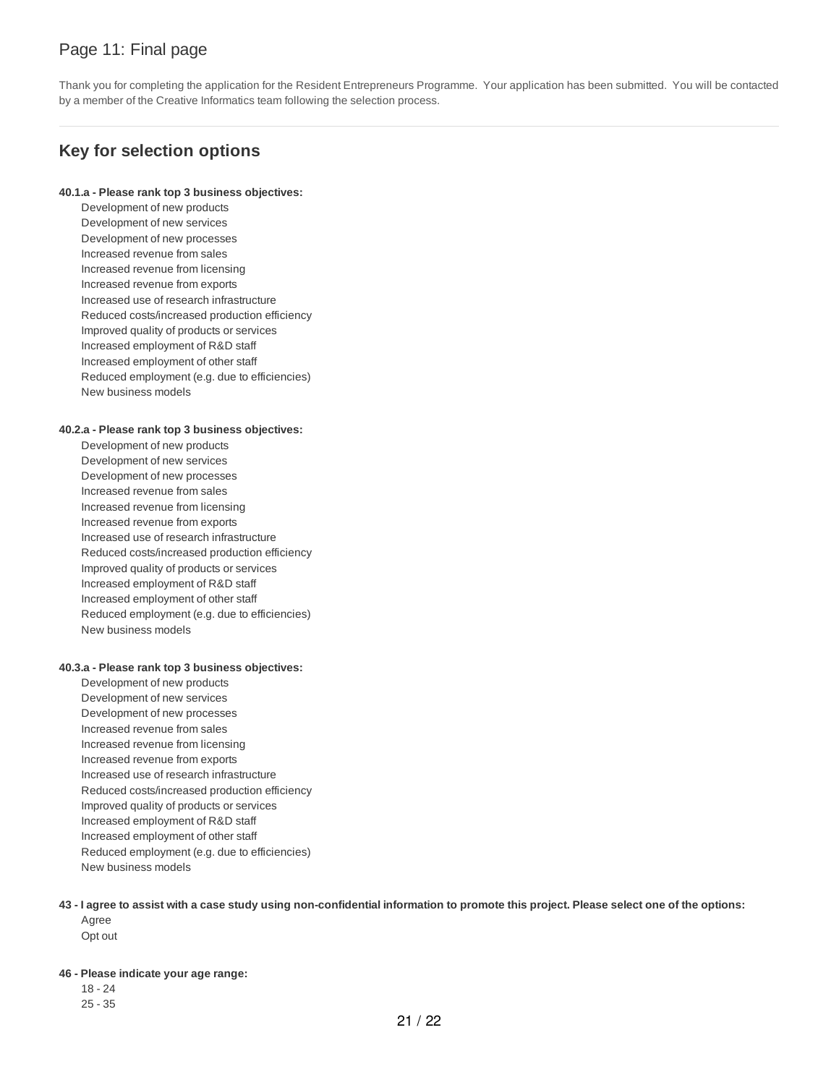## Page 11: Final page

Thank you for completing the application for the Resident Entrepreneurs Programme. Your application has been submitted. You will be contacted by a member of the Creative Informatics team following the selection process.

## **Key for selection options**

#### **40.1.a - Please rank top 3 business objectives:**

Development of new products Development of new services Development of new processes Increased revenue from sales Increased revenue from licensing Increased revenue from exports Increased use of research infrastructure Reduced costs/increased production efficiency Improved quality of products or services Increased employment of R&D staff Increased employment of other staff Reduced employment (e.g. due to efficiencies) New business models

### **40.2.a - Please rank top 3 business objectives:**

Development of new products Development of new services Development of new processes Increased revenue from sales Increased revenue from licensing Increased revenue from exports Increased use of research infrastructure Reduced costs/increased production efficiency Improved quality of products or services Increased employment of R&D staff Increased employment of other staff Reduced employment (e.g. due to efficiencies) New business models

### **40.3.a - Please rank top 3 business objectives:**

- Development of new products Development of new services Development of new processes Increased revenue from sales Increased revenue from licensing Increased revenue from exports Increased use of research infrastructure Reduced costs/increased production efficiency Improved quality of products or services Increased employment of R&D staff Increased employment of other staff Reduced employment (e.g. due to efficiencies) New business models
- 43 I agree to assist with a case study using non-confidential information to promote this project. Please select one of the options: Agree Opt out

**46 - Please indicate your age range:**

18 - 24 25 - 35